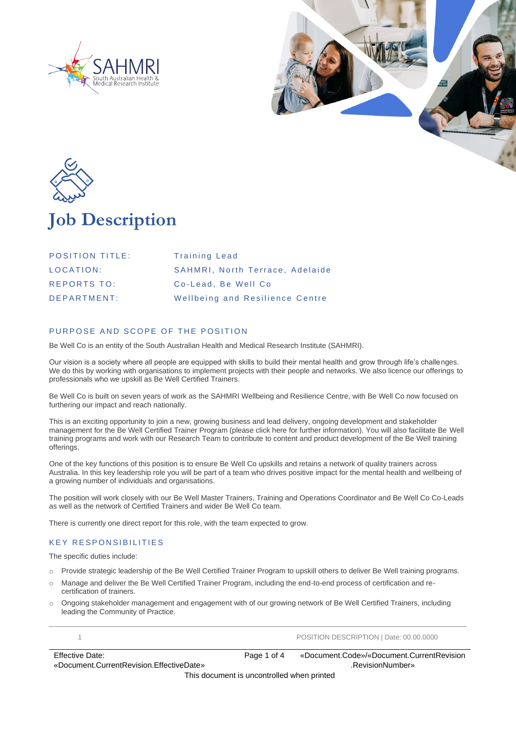





## **Job Description**

| <b>POSITION TITLE:</b> | <b>Training Lead</b>            |
|------------------------|---------------------------------|
| LOCATION:              | SAHMRI, North Terrace, Adelaide |
| <b>REPORTS TO:</b>     | Co-Lead. Be Well Co.            |
| DFPARTMENT:            | Wellbeing and Resilience Centre |

### PURPOSE AND SCOPE OF THE POSITION

Be Well Co is an entity of the South Australian Health and Medical Research Institute (SAHMRI).

Our vision is a society where all people are equipped with skills to build their mental health and grow through life's challenges. We do this by working with organisations to implement projects with their people and networks. We also licence our offerings to professionals who we upskill as Be Well Certified Trainers.

Be Well Co is built on seven years of work as the SAHMRI Wellbeing and Resilience Centre, with Be Well Co now focused on furthering our impact and reach nationally.

This is an exciting opportunity to join a new, growing business and lead delivery, ongoing development and stakeholder management for the Be Well Certified Trainer Program (please click here for further information). You will also facilitate Be Well training programs and work with our Research Team to contribute to content and product development of the Be Well training offerings.

One of the key functions of this position is to ensure Be Well Co upskills and retains a network of quality trainers across Australia. In this key leadership role you will be part of a team who drives positive impact for the mental health and wellbeing of a growing number of individuals and organisations.

The position will work closely with our Be Well Master Trainers, Training and Operations Coordinator and Be Well Co Co-Leads as well as the network of Certified Trainers and wider Be Well Co team.

There is currently one direct report for this role, with the team expected to grow.

### **KEY RESPONSIBILITIES**

The specific duties include:

- o Provide strategic leadership of the Be Well Certified Trainer Program to upskill others to deliver Be Well training programs.
- o Manage and deliver the Be Well Certified Trainer Program, including the end-to-end process of certification and recertification of trainers.
- o Ongoing stakeholder management and engagement with of our growing network of Be Well Certified Trainers, including leading the Community of Practice.

1 POSITION DESCRIPTION | Date: 00.00.0000

Effective Date: «Document.CurrentRevision.EffectiveDate» Page 1 of 4 «Document.Code»/«Document.CurrentRevision .RevisionNumber»

This document is uncontrolled when printed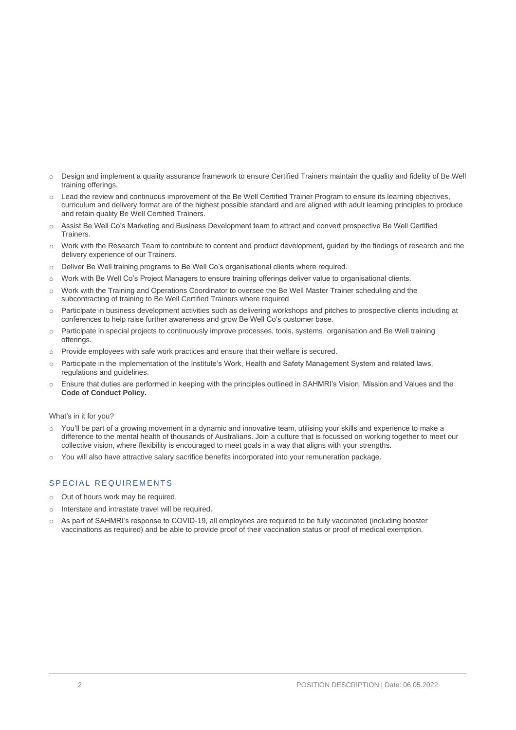- o Design and implement a quality assurance framework to ensure Certified Trainers maintain the quality and fidelity of Be Well training offerings.
- o Lead the review and continuous improvement of the Be Well Certified Trainer Program to ensure its learning objectives, curriculum and delivery format are of the highest possible standard and are aligned with adult learning principles to produce and retain quality Be Well Certified Trainers.
- o Assist Be Well Co's Marketing and Business Development team to attract and convert prospective Be Well Certified Trainers.
- o Work with the Research Team to contribute to content and product development, guided by the findings of research and the delivery experience of our Trainers.
- o Deliver Be Well training programs to Be Well Co's organisational clients where required.
- o Work with Be Well Co's Project Managers to ensure training offerings deliver value to organisational clients.
- o Work with the Training and Operations Coordinator to oversee the Be Well Master Trainer scheduling and the subcontracting of training to Be Well Certified Trainers where required
- o Participate in business development activities such as delivering workshops and pitches to prospective clients including at conferences to help raise further awareness and grow Be Well Co's customer base.
- o Participate in special projects to continuously improve processes, tools, systems, organisation and Be Well training offerings.
- o Provide employees with safe work practices and ensure that their welfare is secured.
- o Participate in the implementation of the Institute's Work, Health and Safety Management System and related laws, regulations and guidelines.
- Ensure that duties are performed in keeping with the principles outlined in SAHMRI's Vision, Mission and Values and the **Code of Conduct Policy.**

#### What's in it for you?

- $\circ$  You'll be part of a growing movement in a dynamic and innovative team, utilising your skills and experience to make a difference to the mental health of thousands of Australians. Join a culture that is focussed on working together to meet our collective vision, where flexibility is encouraged to meet goals in a way that aligns with your strengths.
- You will also have attractive salary sacrifice benefits incorporated into your remuneration package.

### SPECIAL REQUIREMENTS

- o Out of hours work may be required.
- o Interstate and intrastate travel will be required.
- o As part of SAHMRI's response to COVID-19, all employees are required to be fully vaccinated (including booster vaccinations as required) and be able to provide proof of their vaccination status or proof of medical exemption.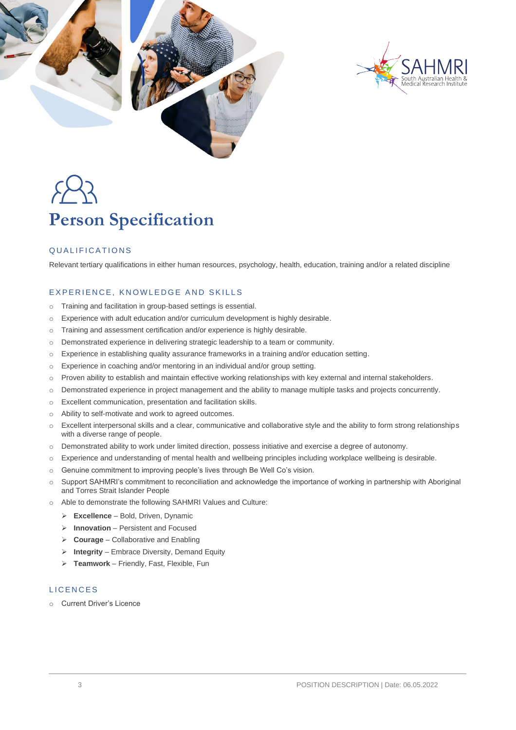



# **Person Specification**

### QUALIFICATIONS

Relevant tertiary qualifications in either human resources, psychology, health, education, training and/or a related discipline

### EXPERIENCE, KNOWLEDGE AND SKILLS

- o Training and facilitation in group-based settings is essential.
- o Experience with adult education and/or curriculum development is highly desirable.
- o Training and assessment certification and/or experience is highly desirable.
- o Demonstrated experience in delivering strategic leadership to a team or community.
- o Experience in establishing quality assurance frameworks in a training and/or education setting.
- o Experience in coaching and/or mentoring in an individual and/or group setting.
- $\circ$  Proven ability to establish and maintain effective working relationships with key external and internal stakeholders.
- o Demonstrated experience in project management and the ability to manage multiple tasks and projects concurrently.
- o Excellent communication, presentation and facilitation skills.
- o Ability to self-motivate and work to agreed outcomes.
- o Excellent interpersonal skills and a clear, communicative and collaborative style and the ability to form strong relationships with a diverse range of people.
- o Demonstrated ability to work under limited direction, possess initiative and exercise a degree of autonomy.
- o Experience and understanding of mental health and wellbeing principles including workplace wellbeing is desirable.
- o Genuine commitment to improving people's lives through Be Well Co's vision.
- o Support SAHMRI's commitment to reconciliation and acknowledge the importance of working in partnership with Aboriginal and Torres Strait Islander People
- o Able to demonstrate the following SAHMRI Values and Culture:
	- ➢ **Excellence**  Bold, Driven, Dynamic
	- ➢ **Innovation** Persistent and Focused
	- ➢ **Courage** Collaborative and Enabling
	- ➢ **Integrity** Embrace Diversity, Demand Equity
	- ➢ **Teamwork** Friendly, Fast, Flexible, Fun

### **LICENCES**

o Current Driver's Licence